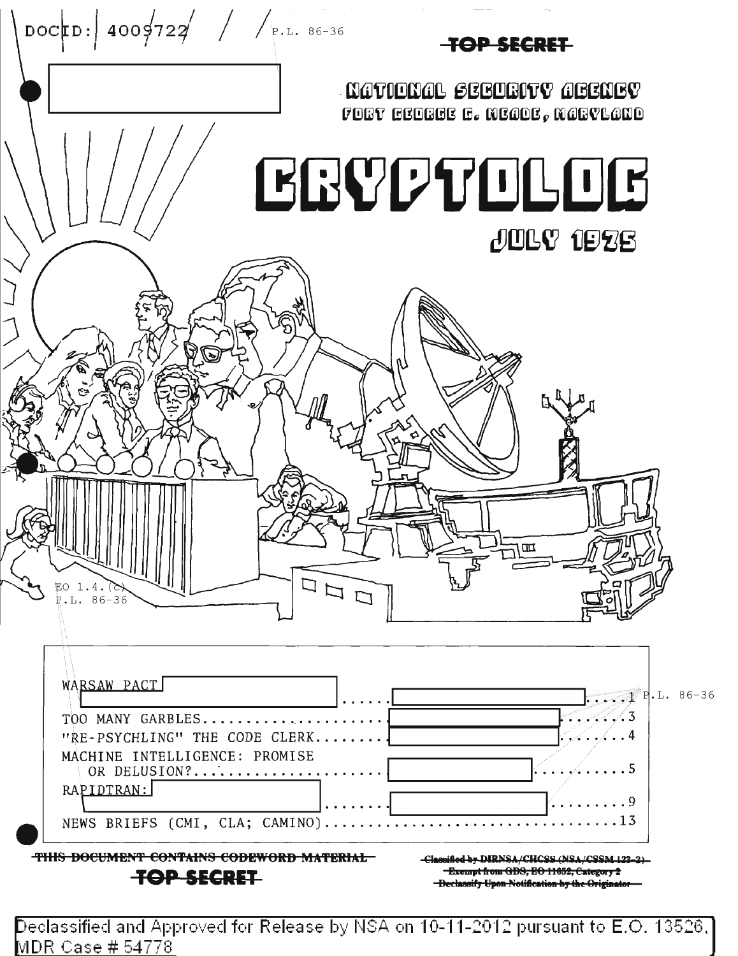| DOCED: 4009722 / / P.L. 86-36                                                      | <del>-TOP SECRET</del>                                     |
|------------------------------------------------------------------------------------|------------------------------------------------------------|
|                                                                                    | NATIONAL SEGUEITY AGENGY<br>FORT GEOGGE G. MEGOE, MGGYLGNO |
|                                                                                    | BBVDTDLOG                                                  |
|                                                                                    | <b>JOLY 1926</b>                                           |
|                                                                                    |                                                            |
|                                                                                    |                                                            |
|                                                                                    |                                                            |
|                                                                                    |                                                            |
| <b>KATTI</b>                                                                       |                                                            |
| EO 1.4.(C<br>$F.L. 86-36$                                                          |                                                            |
| WARSAW PACT                                                                        | $\ldots$ $\mathbb{1}$ P.L. 86-36                           |
| TOO MANY GARBLES<br>"RE-PSYCHLING" THE CODE CLERK<br>MACHINE INTELLIGENCE: PROMISE |                                                            |
| OR DELUSION?<br>RAPIDTRAN:                                                         | . 9                                                        |

Declassified and Approved for Release by NSA on 10-11-2012 pursuant to E.O. 13526, [<br>MDR Case # 54778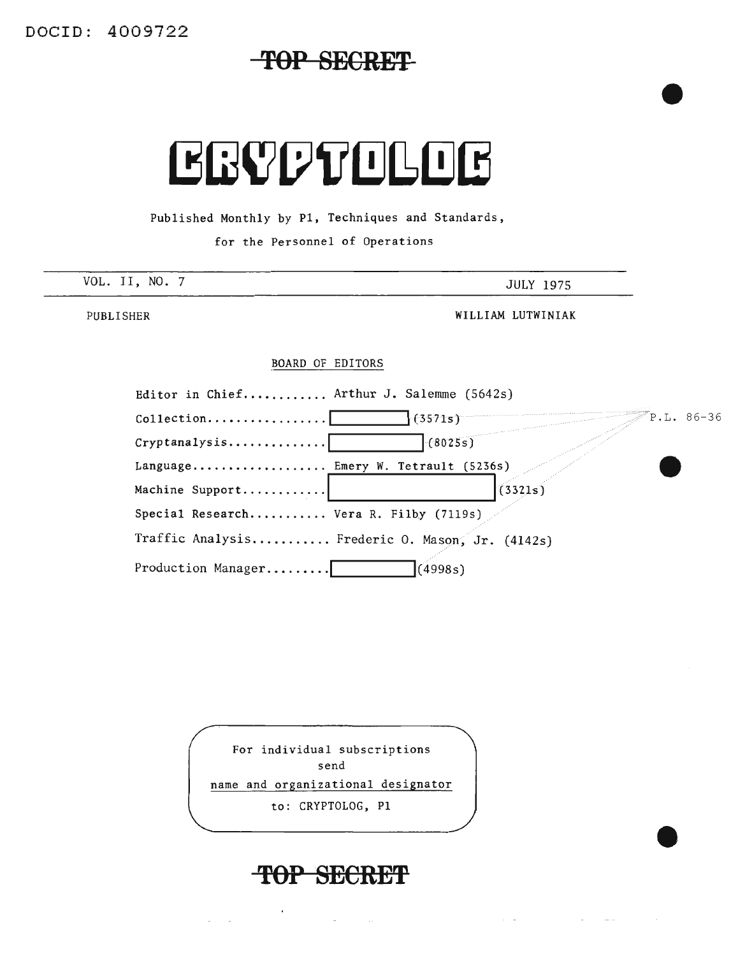DOCID: 4009722

## TOP SECRET



Published Monthly by PI, Techniques and Standards,

for the Personnel of Operations

| VOL. II, NO. 7 | JULY 1975 |
|----------------|-----------|
|                |           |

PUBLISHER

WILLIAM LUTWINIAK

#### BOARD OF EDITORS

| Editor in Chief Arthur J. Salemme $(5642s)$       |                                                 |  |
|---------------------------------------------------|-------------------------------------------------|--|
| $\text{Collection} \dots \dots \dots \dots \dots$ | P.L. 86-36<br>(3571s)                           |  |
| Cryptanalysis                                     | (8025s)                                         |  |
| Language Emery W. Tetrault (5236s)                |                                                 |  |
| Machine Support                                   | (3321s)                                         |  |
| Special Research Vera R. Filby (7119s)            |                                                 |  |
|                                                   | Traffic Analysis Frederic O. Mason, Jr. (4142s) |  |
| Production Manager                                | (4998s)                                         |  |

For individual subscriptions send name and organizational designator to: CRYPTOLOG, PI

## TOP SECRET

 $\omega_{\rm{max}}$  and  $\omega_{\rm{max}}$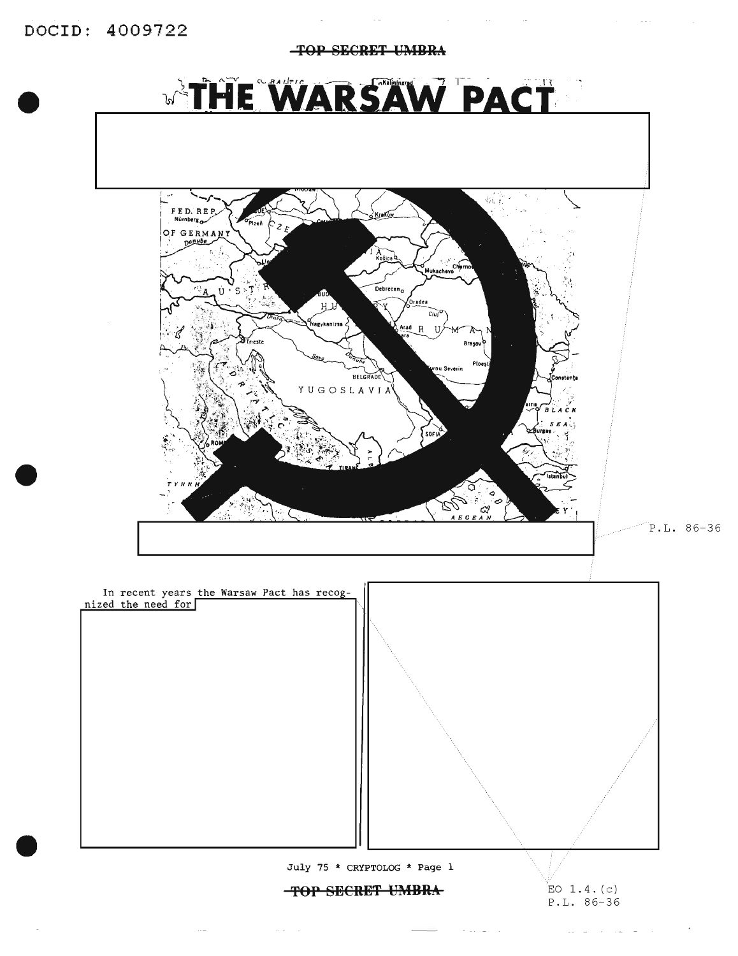DOCID: 4009722

**TOP SECRET UMBRA WARSAW PACT** 

 $\sim 10^{-11}$ 





 $\alpha$  ,  $\alpha$  ,  $\beta$  ,  $\alpha$ 

 $\mathcal{L}(\mathcal{L})=\mathcal{L}(\mathcal{L})$ 

 $\sigma_{\rm c} \sim 10^{-1}$ 

 $\sim$   $-$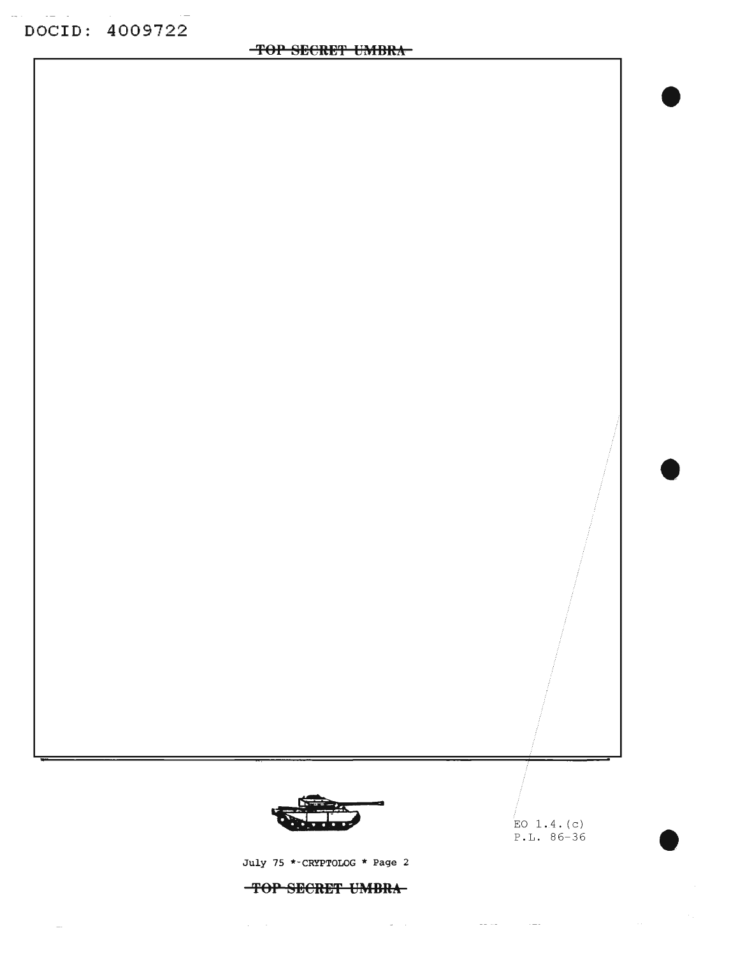DOCID: 4009722

**'fOP SECRET UMBRA**



July 75 \*-CRYPTOLOG \* Page 2

**TOP SECRET UMBRA**

 $\omega_{\rm{eff}}$  and

فتشارك والمستشف والمستندر والمتناوب

 $EO$  1.4. (c) P.L. 86-36

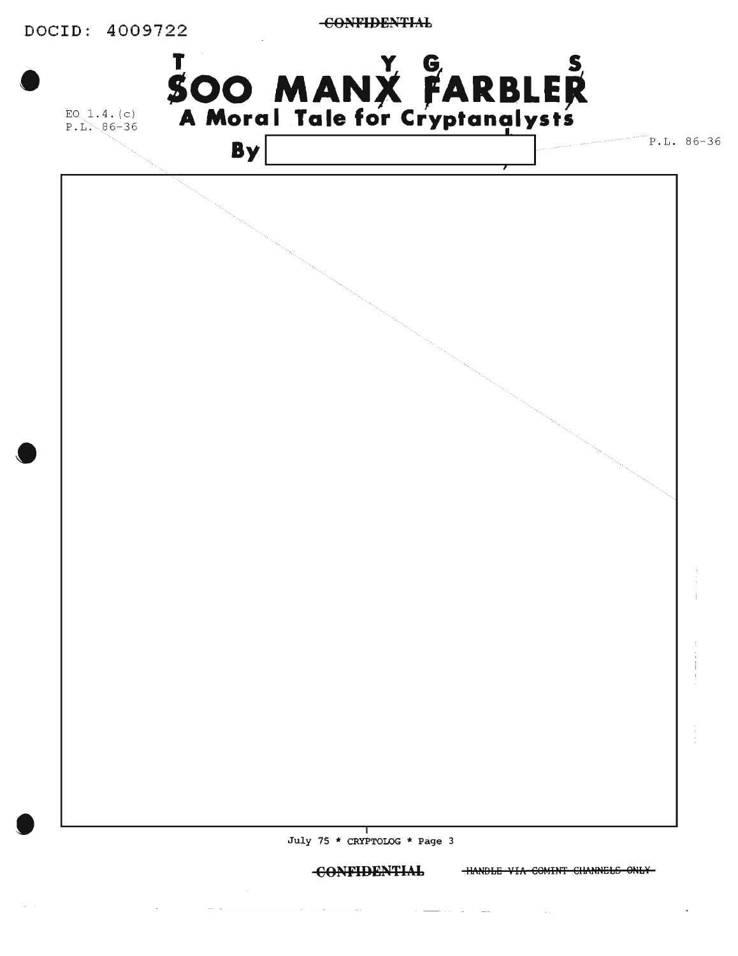

**CONFIDENTIAL** 

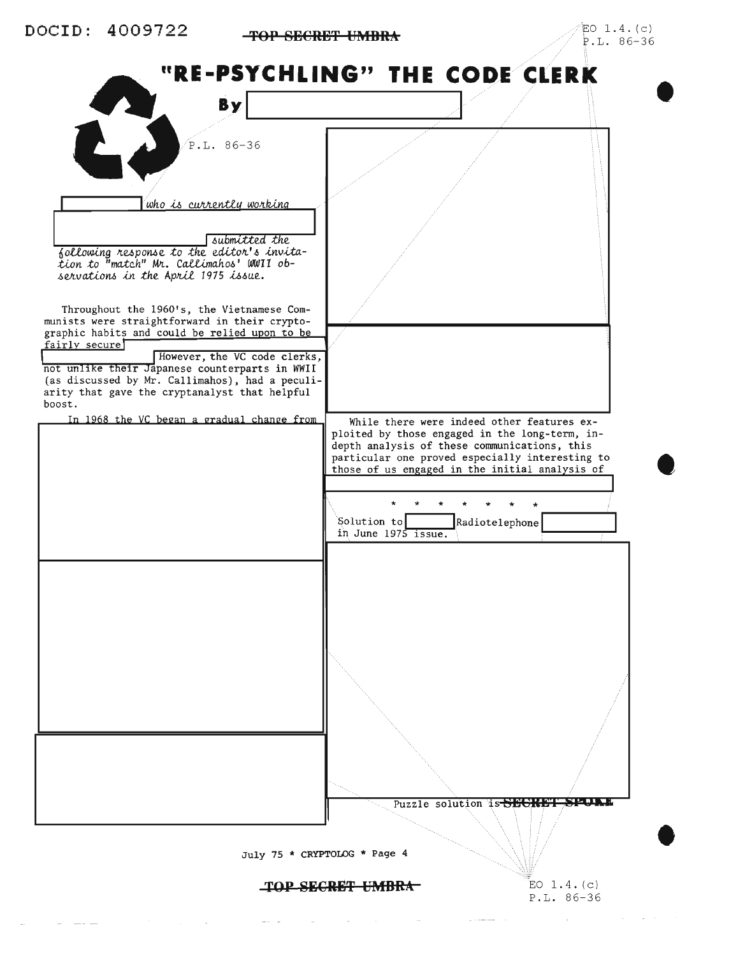

TOP SECRET UMBRA

EO  $1.4.$  (c)  $P.L. 86-36$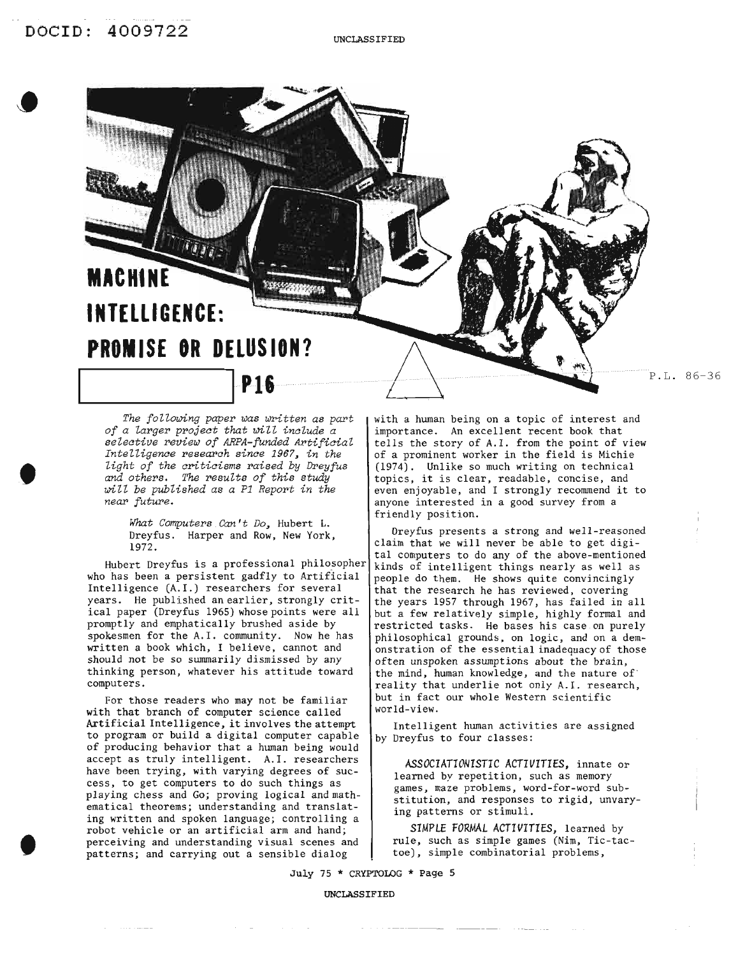,

,



*The following paper* was *written* as part *of a larger project that will include a selective review of ARPA-funded ArtificiaZ Intelligence research since* 1967, *in the light of the criticisms raised by Dreyfus and others. The* results *of this study will be published* as *a* P1 *Report in the near future.*

*What Computers Can't Do,* Hubert L. Dreyfus. Harper and Row, New York, 1972.

Hubert Dreyfus is a professional philosopher who has been a persistent gadfly to Artificial Intelligence (A. I.) researchers for several years. He published an earlier, strongly critical paper (Dreyfus 1965) whose points were all promptly and emphatically brushed aside by spokesmen for the A.I. community. Now he has written a book which, I believe, cannot and should not be so summarily dismissed by any thinking person, whatever his attitude toward computers.

For those readers who may not be familiar with that branch of computer science called Artificial Intelligence, it involves the attempt to program or build a digital computer capable of producing behavior that a human being would accept as truly intelligent. A.I. researchers have been trying, with varying degrees of success, to get computers to do such things as playing chess and Go; proving logical and mathematical theorems; understanding and translating written and spoken language; controlling a robot vehicle or an artificial arm and hand; perceiving and understanding visual scenes and patterns; and carrying out a sensible dialog

with a human being on a topic of interest and importance. An excellent recent book that tells the story of A.I. from the point of view of a prominent worker in the field is Michie (1974). Unlike so much writing on technical topics, it is clear, readable, concise, and even enjoyable, and <sup>I</sup> strongly recommend it to anyone interested in a good survey from a friendly position.

Dreyfus presents a strong and well-reasoned claim that we will never be able to get digital computers to do any of the above-mentioned kinds of intelligent things nearly as well as people do them. He shows quite convincingly that the research he has reviewed, covering the years 1957 through 1967, has failed in all but a few relatively simple, highly formal and restricted tasks. He bases his case on purely philosophical grounds, on logic, and on a demonstration of the essential inadequacy of those often unspoken assumptions about the brain, the mind, human knowledge, and the nature of reality that underlie not only A.I. research, but in fact our whole Western scientific world-view.

Intelligent human activities are assigned by Dreyfus to four classes:

*ASSOCIATIONISTIC ACTIVITIES,* innate or learned by repetition, such as memory games, maze problems, word-for-word substitution, and responses to rigid, unvarying patterns or stimuli.

*SIMPLE FORMAL ACTIVITIES,* learned by rule, such as simple games (Nim, Tic-tactoe), simple combinatorial problems,

July 75 \* CRYPTOLOG \* Page 5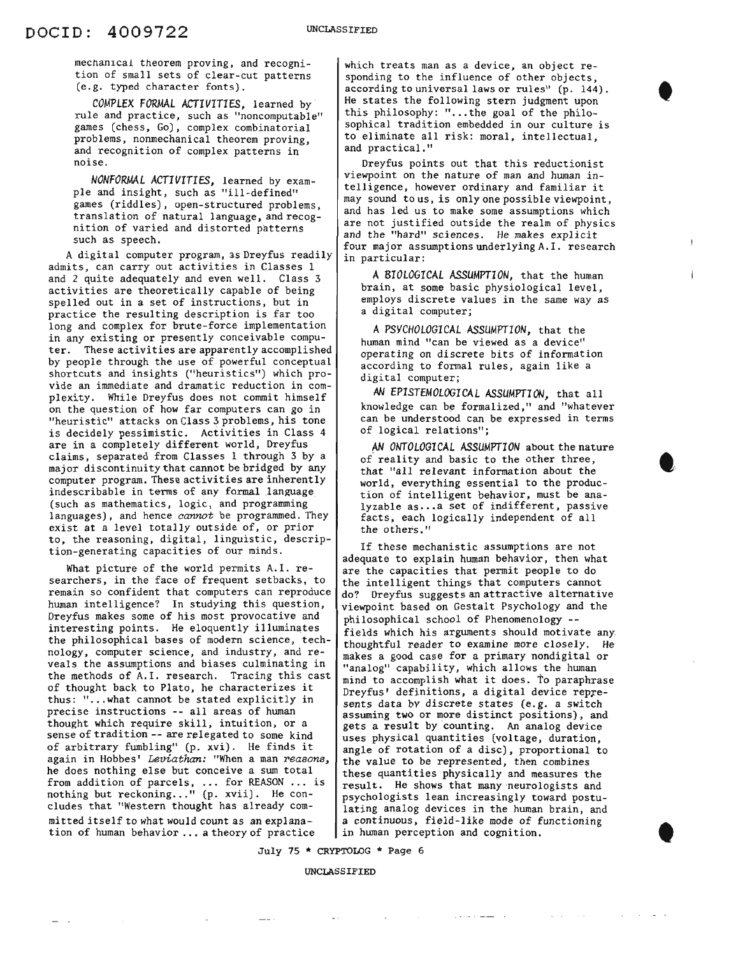mechanical theorem proving, and recognition of small sets of clear-cut patterns (e.g. typed character fonts).

*COMPLEX FORMAL* ACTIVITIES, learned by rule and practice, such as "noncomputable" games (chess, Go), complex combinatorial problems, nonmechanical theorem proving, and recognition of complex patterns in noise.

*NONFORMAL ACTIVITIES,* learned by example and insight, such as "ill-defined" games (riddles), open-structured problems, translation of natural language, and recognition of varied and distorted patterns such as speech.

A digital computer program, as Dreyfus readily admits, can carry out activities in Classes <sup>I</sup> and 2 quite adequately and even well. Class 3 activities are theoretically capable of being spelled out in a set of instructions, but in practice the resulting description is far too long and complex for brute-force implementation | A PSYCHOLOGICAL ASSUMPTION, that the in any existing or presently conceivable compu- human mind "can be viewed as a device" ter. These activities are apparently accomplished operating on discrete bits of information by people through the use of powerful conceptual according on discrete bits of information shortcuts and insights ("heuristics") which pro- digital computer; vide an immediate and dramatic reduction in com-<br>
N **EPISTEMOLOGICAL** ASSUMPTION, that all plexity. While Dreyfus does not commit himself<br>on the question of how far computers can go in "heuristic" attacks on Class 3 problems, his tone can be understood can be expressed in terms is decidely pessimistic activities in Class  $4$  of logical relations"; is decidely pessimistic. Activities in Class 4 are in a completely different world, Dreyfus AN ONTOLOGICAL ASSUMPTION about the nature claims, separated from Classes 1 through 3 by a  $\int_{\text{of} }$  reality and basic to the other three, major discontinuity that cannot be bridged by any that "all relevant information about the computer program. These activities are inherently world, everything essential to the producindescribable in terms of any formal language tion of intelligent behavior, must be ana-(such as mathematics, logic, and programming lyzable as...a set of indifferent, passive languages), and hence *cannot* be programmed. They facts, each logically independent of all exist at a level totally outside of, or prior  $\left\{\n\begin{array}{ccc}\n& \text{arccos, each} \\
& \text{the others.}\n\end{array}\n\right\}$ to, the reasoning, digital, linguistic, descrip-<br>tion-generating capacities of our minds.<br>If these mechanistic assumptions are not

What picture of the world permits A.I. re-  $\int$  are the capacities that permit people to do searchers, in the face of frequent setbacks, to  $\int$  the intelligent things that computers cannot remain so confident that computers can reproduce  $\int$  do? Dreyfus suggests an attractive alternative human intelligence? In studying this question, viewpoint based on Gestalt Psychology and the Dreyfus makes some of his most provocative and philosophical school of Phenomenology -interesting points. He eloquently illuminates fields which his arguments should motivate any the philosophical bases of modern science, tech- thoughtful reader to examine more closely. He nology, computer science, and industry, and re- | makes a good case for a primary nondigital or veals the assumptions and biases culminating in  $\int_{0}^{\frac{\pi}{2}} \tan 2\theta g \cot \theta d\theta$  capability, which allows the human the methods of A.I. research. Tracing this cast  $\begin{bmatrix} \text{unlarge} \\ \text{min} \end{bmatrix}$  which accomplish what it does. To paraphrase<br>of thought back to Plato, he characterizes it  $\begin{bmatrix} \text{unlarge} \\ \text{inning} \end{bmatrix}$  definitions, a digital devi of thought back to Plato, he characterizes it<br>thus: "...what cannot be stated explicitly in prevents data by discrete states (e.g. a switch<br>precise instructions -- all areas of human precise instructions  $-$  all areas of human assuming two or more distinct positions), and thought which require skill, intuition, or a sense of tradition -- are relegated to some kind uses physical quantities (voltage, duration, of arbitrary fumbling" (p. xvi). He finds it angle of rotation of a disc), proportional to again in Hobbes' *Leviathan*: "When a man *reasons*, the value to be represented, then combines he does nothing else but conceive a sum total these quantities physically and measures the  $f$  and  $f$  and  $f$  are surface to  $f$  and  $f$  and  $f$  are  $f$  are  $f$  and  $f$  are  $f$  and  $f$  are  $f$  and  $f$  are  $f$  are  $f$  are  $f$  are  $f$  are  $f$  are  $f$  are  $f$  are  $f$  are  $f$  are  $f$  are  $f$  are  $f$  are  $f$  are  $f$ nothing but reckoning..." (p. xvii). He con-<br>nothing but reckoning..." (p. xvii). He con-<br>psychologists lean increasingly toward postunothing but reckoning..." (p. xvii). He con-<br>cludes that "Western thought has already com-<br>lating analog devices in the human brain, and mitted itself to what would count as an explana-  $|a|$  continuous, field-like mode of functioning tion of human behavior  $\ldots$ , a theory of practice in human perception and cognition.

which treats man as a device, an object responding to the influence of other objects. according to universal laws or rules" (p. 144). He states the following stern judgment upon this philosophy: "... the goal of the philosophical tradition embedded in our culture is to eliminate all risk: moral, intellectual, and practical."

t

t

and the company

 $\sim$ 

Dreyfus points out that this reductionist viewpoint on the nature of man and human intelligence, however ordinary and familiar it may sound to us, is only one possible viewpoint, and has led us to make some assumptions which are not justified outside the realm of physics and the "hard" sciences. He makes explicit four major assumptions underlying A. I. research in particular:

A*BIOLOGICAL ASSUMPTION,* that the human brain, at some basic physiological level, employs discrete values in the same way as a digital computer;

knowledge can be formalized," and "whatever

adequate to explain human behavior, then what gets a result by counting. An analog device

July 75 \* CRYFTOLOG \* Page 6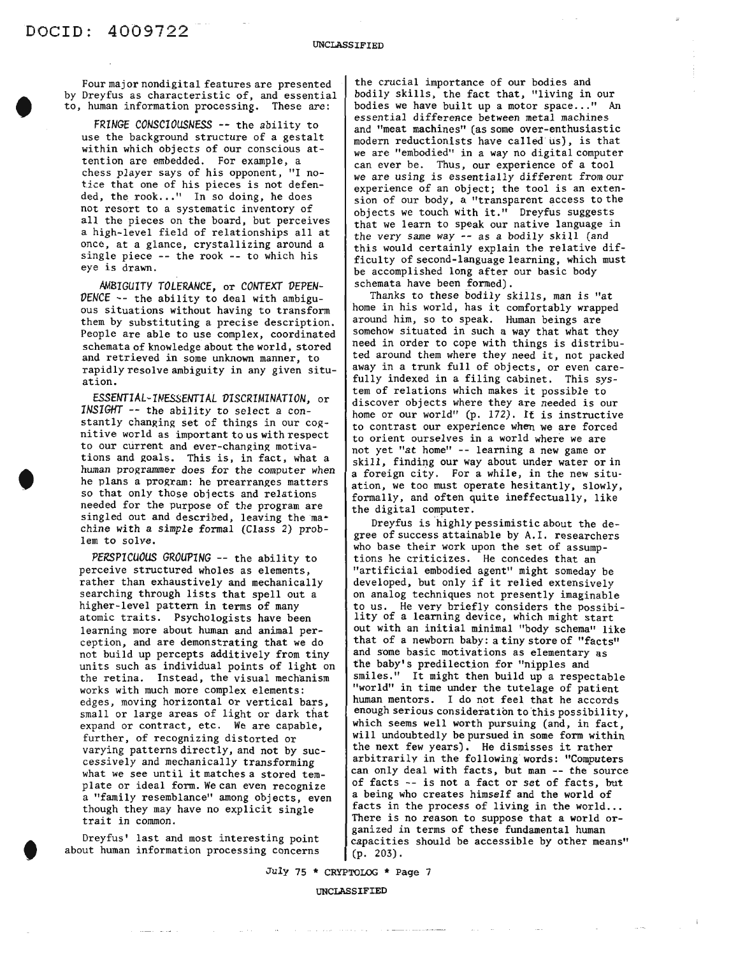Four major nondigital features are presented by Dreyfus as characteristic of, and essential to, human information processing. These are:

*FRINGE CONSCIOUSNESS* -- the ability to use the background structure of a gestalt within which objects of our conscious attention are embedded. For example, a chess player says of his opponent, "I notice that one of his pieces is not defended, the rook..." In so doing, he does not resort to a systematic inventory of all the pieces on the board, but perceives a high-level field of relationships all at once, at a glance, crystallizing around a single piece -- the rook -- to which his eye is drawn.

*AMBIGUITY TOLERANCE,* or *CONTEXT DEPEN-DENCE* -- the ability to deal with ambiguous situations without having to transform them by substituting a precise description. People are able to use complex, coordinated schemata of knowledge about the world, stored and retrieved in some unknown manner, to rapidly resolve ambiguity in any given situation.

ESSENTIAL-INESSENTIAL *DISCRIMINATION,* or *INSIGHT* -- the ability to select a constantly changing set of things in our cognitive world as important to us with respect to our current and ever-changing motivations and goals. This is, in fact, what a human programmer does for the computer when he plans a program: he prearranges matters so that only those objects and relations needed for the purpose of the program are singled out and described, leaving the machine with a simple formal (Class 2) problem to solve.

*PERSPICUOUS GROUPING* -- the ability to perceive structured wholes as elements, rather than exhaustively and mechanically searching through lists that spell out a higher-level pattern in terms of many atomic traits. Psychologists have been learning more about human and animal perception, and are demonstrating that we do not build up percepts additively from tiny units such as individual points of light on the retina. Instead, the visual mechanism works with much more complex elements: edges, moving horizontal or vertical bars, small or large areas of light or dark that expand or contract, etc. We are capable, further, of recognizing distorted or varying patterns directly, and not by successively and mechanically transforming what we *see* until it matches <sup>a</sup> stored template or ideal form. We can even recognize a "family resemblance" among objects, even though they may have no explicit single trait in common.

Dreyfus' last and most interesting point about human information processing concerns

t

the crucial importance of our bodies and bodily skills, the fact that, "living in our bodies we have built up a motor space..." An *essential* difference between metal machines and "meat machines" (as some over-enthusiastic modern reductionists have called us), is that we are "embodied" in a way no digital computer can ever be. Thus, our experience of a tool we are using *is* essentially different from our experience of an object; the tool is an extension of our body, a "transparent access to the objects we touch with it." Dreyfus suggests that we learn to speak our native language in the very same way -- as a bodily skill (and this would certainly explain the relative difficulty of second-language learning, which must be accomplished long after our basic body schemata have been formed).

Thanks to these bodily skills, man *is* "at home in his world, has it comfortably wrapped around him, so to speak. Human beings are somehow situated in such a way that what they need in order to cope *with* things is distributed around them where they need *it,* not packed away in a trunk full of objects, or even carefully indexed in a filing cabinet. This system of relations which makes *it* possible to discover objects where they are needed is our home or our world" (p. 172). It is instructive to contrast our experience when we are forced to orient ourselves in a world where we are not yet "at home" -- learning a new game or skill, finding our way about under water or in a foreign *city.* For a while, in the new situation, we too must operate hesitantly, slowly, formally, and often quite ineffectually, like the digital computer.

Dreyfus is highly pessimistic about the degree of success attainable by A. I. researchers who base *their* work upon the set of assumptions he criticizes. He concedes that an "artificial embodied agent" might someday be developed, but only if it relied extensively on analog techniques not presently imaginable to us. He very briefly considers the possibi- lity of <sup>a</sup> learning device, which might start out with an initial minimal "body schema" like that of a newborn baby: a tiny store of "facts" and some basic motivations as elementary as the baby's predilection for "nipples and smiles." It might then build up a respectable "world" in time under the tutelage of patient human mentors. I do not feel that he accords enough serious consideration to this possibility, which seems well worth pursuing (and, in fact, will undoubtedly be pursued in some form within the next few years). He dismisses it rather arbitraril<sup>y</sup> in the following words: "Computers can only deal with facts, but man -- the source of facts -- is not a fact or set of facts, but a being who creates himself and the world of facts in the process of living in the world... There is no reason to suppose that a world organized in terms of these fundamental human capacities should be accessible by other means" (p. 203).

July 75 \* CRYPTOLOG \* Page 7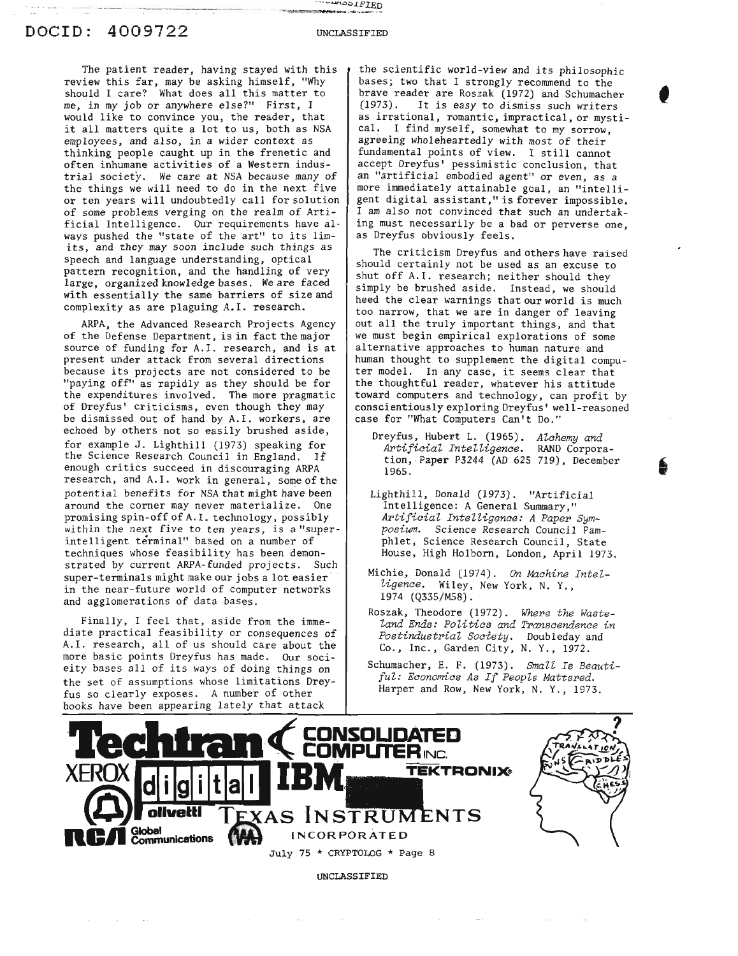UNCLASSIFIED

#### DOCID: 4009722

The patient reader, having stayed with this review this far, may be asking himself, "Why should I care? What does all this matter to me, in my job or anywhere else?" First, I would like to convince you, the reader, that it all matters quite <sup>a</sup> lot to us, both as NSA employees, and also, in a wider context as thinking people caught up in the frenetic and often inhumane activities of a Western industrial society. We care at NSA because many of the things we will need to do in the next five or ten years will undoubtedly call for solution of some problems verging on the realm of Artificial Intelligence. Our requirements have al· ways pushed the "state of the art" to its limits, and they may soon include such things as speech and language understanding, optical pattern recognition, and the handling of very large, organized knowledge bases. We are faced with essentially the same barriers of size and complexity as are plaguing A.I. research.

ARPA, the Advanced Research Projects Agency of the Defense Department, is in fact the major source of funding for A.I. research, and is at present under attack from several directions because its projects are not considered to be "paying off" as rapidly as they should be for the expenditures involved. The more pragmatic of Dreyfus' criticisms, even though they may be dismissed out of hand by A.I. workers, are echoed by others not so easily brushed aside, for example J. Lighthill (1973) speaking for the Science Research Council in England. If enough critics succeed in discouraging ARPA research, and A. I. work in general, some of the potential benefits for NSA that might have been around the corner may never materialize. One promising spin-off of A. I. technology, possibly within the next five to ten years, is a "superintelligent terminal" based on a number of techniques whose feasibility has been demonstrated by current ARPA-funded projects. Such super-terminals might make our jobs a lot easier . in the near-future world of computer networks and agglomerations of data bases.

Finally, I feel that, aside from<br>liate practical feasibility or conse<br>A.I. research, all of us should care<br>nore basic points Dreyfus has made.<br>tity bases all of its ways of doing<br>the set of assumptions whose limitat<br>nooks Finally, I feel that, aside from the immediate practical feasibility or consequences of A.I. research, all of us should care about the more basic points Dreyfus has made. Our socieity bases all of its ways of doing things on the set of assumptions whose limitations Dreyfus so clearly exposes. A number of other books have been appearing lately that attack

the scientific world-view and its philosophic bases; two that I strongly recommend to the brave reader are Roszak  $(1972)$  and Schumacher (1973). It is easy to dismiss such writers It is easy to dismiss such writers as irrational, romantic, impractical, or mystical. I find myself, somewhat to my sorrow, agreeing wholeheartedly with most of their fundamental points of view. I still cannot accept Dreyfus' pessimistic conclusion, that an "artificial embodied agent" or even, as a more immediately attainable goal, an "intelligent digital assistant," is forever impossible. I am also not convinced that such an undertaking must necessarily be a bad or perverse one. as Dreyfus obviously feels.

•

,

The criticism Dreyfus and others have raised should certainly not be used as an excuse to shut off A.I. research; neither should they simply be brushed aside. Instead, we should heed the clear warnings that our world is much too narrow, that we are in danger of leaving out all the truly important things, and that we must begin empirical explorations of some alternative approaches to human nature and human thought to supplement the digital computer model. In any case, it seems clear that the thoughtful reader, whatever his attitude toward computers and technology, can profit by conscientiously exploring Dreyfus' well-reasoned case for "What Computers Can't Do."

- Dreyfus, Hubert L. (1965). *Alchemy and Artificial Intelligence.* RAND Corporation, Paper P3244 (AD 625 719), December 1965.
- Lighthill, Donald (1973). "Artificial Intelligence: A General Summary," *Artificial Intelligence: A Paper Symposium.* Science Research Council Pamphlet, Science Research Council, State House, High Holborn, London, April *1973.*
- Michie, Donald (1974). *On Machine Intelligence.* Wiley, New York, N. Y., 1974 (Q335/M58).
- Roszak, Theodore (1972). *Where the Wasteland Ends: Politics and Transcendence in Postindustrial Society.* Doubleday and Co., Inc., Garden City, N. *Y., 1972.*
- Schumacher, E. F. (1973). *Small Is Beautiful: Economics As If People Mattered.* Harper and Row, New York, N. *Y., 1973.*

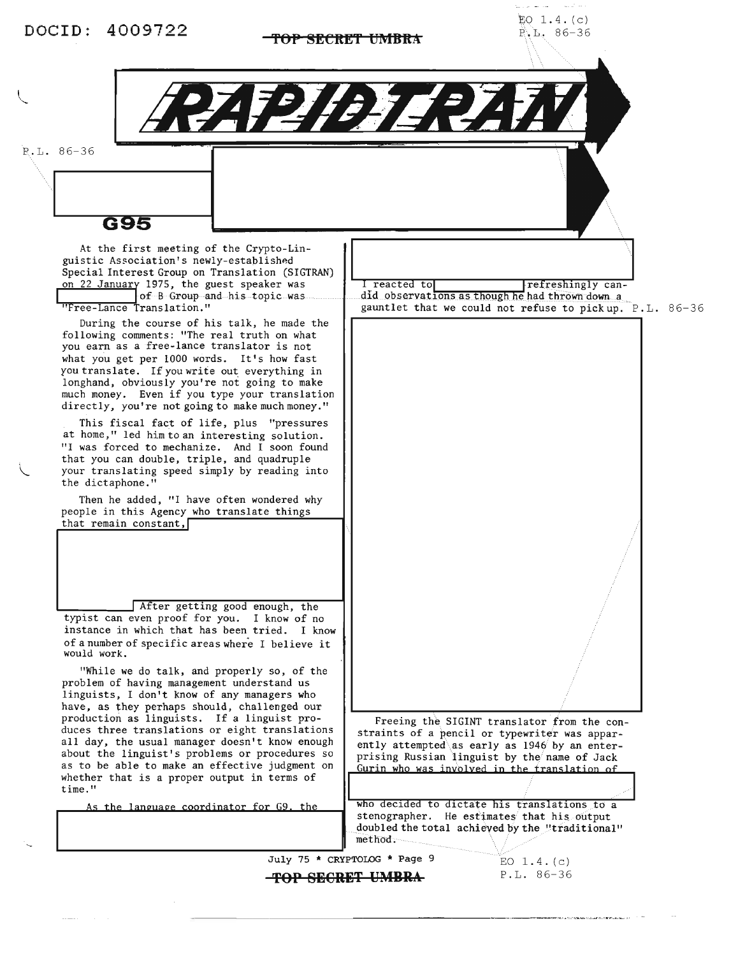## **TOP SECRET UMBRA 196-36**

 $EO$  1.4. $(c)$ 

P.L. 86-36

G95

At the first meeting of the Crypto-Linguistic Association's newly-established Special Interest Group on Translation (SIGTRAN) on 22 January 1975, the guest speaker was Iof B Group and his topic was "Free-Lance Translation."

During the course of his talk, he made the following comments: "The real truth on what you earn as a free-lance translator is not what you get per <sup>1000</sup> words. It's how fast you translate. If you write out everything in longhand, obviously you're not going to make much money. Even if you type your translation directly, you're not going to make much money."

This fiscal fact of life, plus "pressures at home," led him to an interesting solution. "I was forced to mechanize. And I soon found that you can double, triple, and quadruple your translating speed simply by reading into the dictaphone."

Then he added, "I have often wondered why people in this Agency who translate things that remain constant,

After getting good enough, the typist can even proof for you. I know of no instance in which that has been tried. I know of <sup>a</sup> number of specific areas where <sup>I</sup> believe it would work.

"While we do talk, and properly so, of the problem of having management understand us linguists, I don't know of any managers who have, as they perhaps should, challenged our production as linguists. If a linguist produces three translations or eight translations all day, the usual manager doesn't know enough about the linguist's problems or procedures so as to be able to make an effective judgment on whether that is a proper output in terms of time."

As the language coordinator for G9, the

I reacted tol refreshingly candid observations as though he had thrown down a gauntlet that we could not refuse to pick up. P.L. 86-36

Freeing the SIGINT translator from the constraints of a pencil or typewriter was apparently attempted as early as 1946 by an enter-<br>prising Russian linguist by the name of Jack Gurin who was involved in the translation of

who decided to dictate his translations to a stenographer. He estimates that his output doubled the total achieved by the "traditional" method,

July 75 \* CRYPTOLOG \* Page 9

**top SECRET UMBRA** 

EO  $1.4. (c)$ P.L. 86-36

na a turkhek tidad dingkanaa ar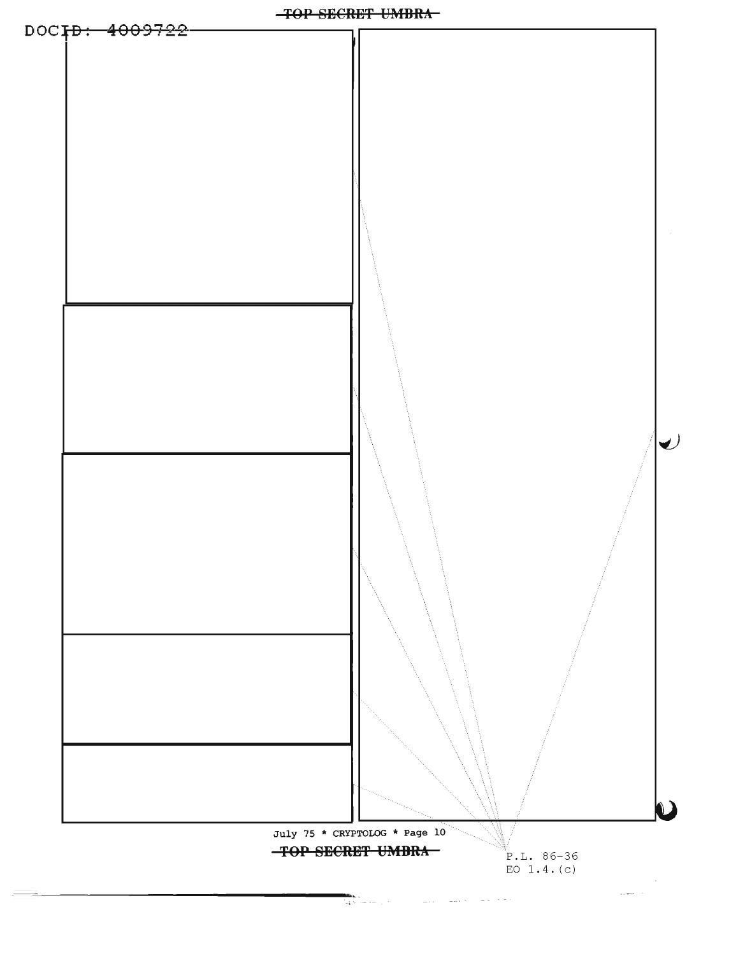

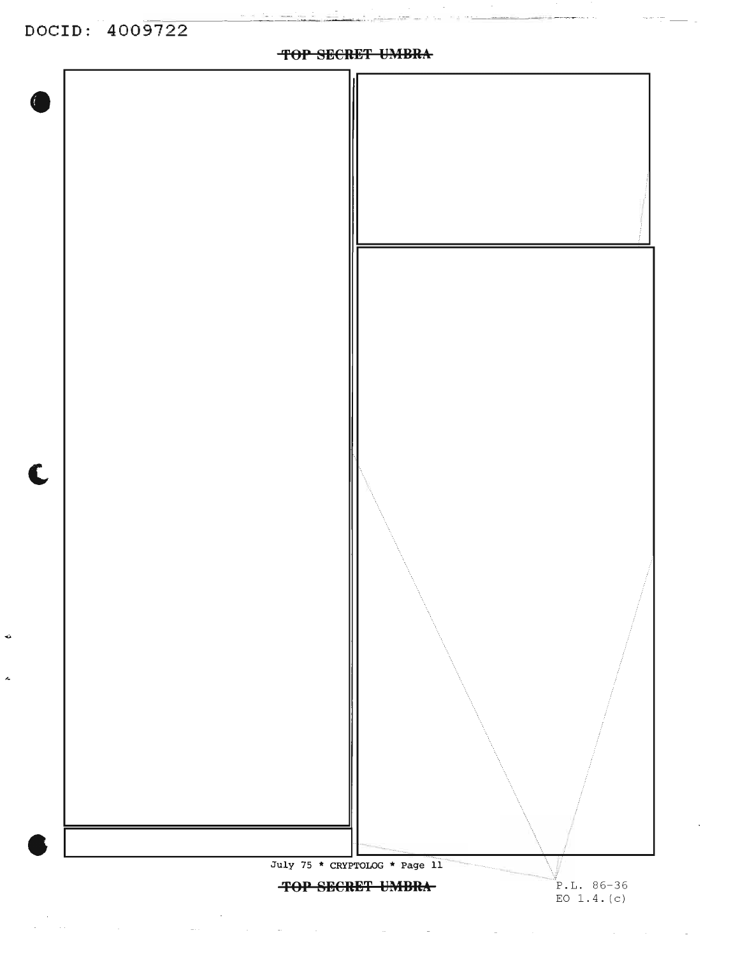$\ddot{\phantom{a}}$ 

Ă,

مدائنته مسلولين بأبيه

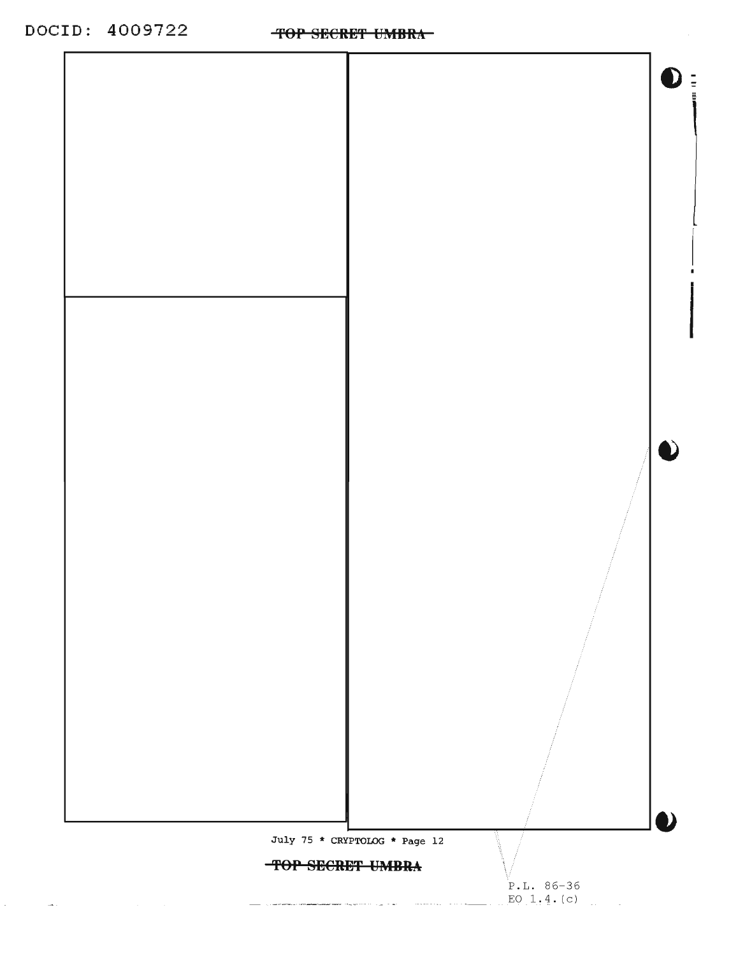DOCID: 4009722 TOP SECRET UMBRA

 $\frac{1}{2} \left( \frac{1}{2} \right) \left( \frac{1}{2} \right) \left( \frac{1}{2} \right) \left( \frac{1}{2} \right) \left( \frac{1}{2} \right) \left( \frac{1}{2} \right) \left( \frac{1}{2} \right) \left( \frac{1}{2} \right) \left( \frac{1}{2} \right) \left( \frac{1}{2} \right) \left( \frac{1}{2} \right) \left( \frac{1}{2} \right) \left( \frac{1}{2} \right) \left( \frac{1}{2} \right) \left( \frac{1}{2} \right) \left( \frac{1}{2} \right) \left( \frac$ 



TOP SECRET UMBRA

 $P.L. 86-36$  $EQ_11, 4. (c)$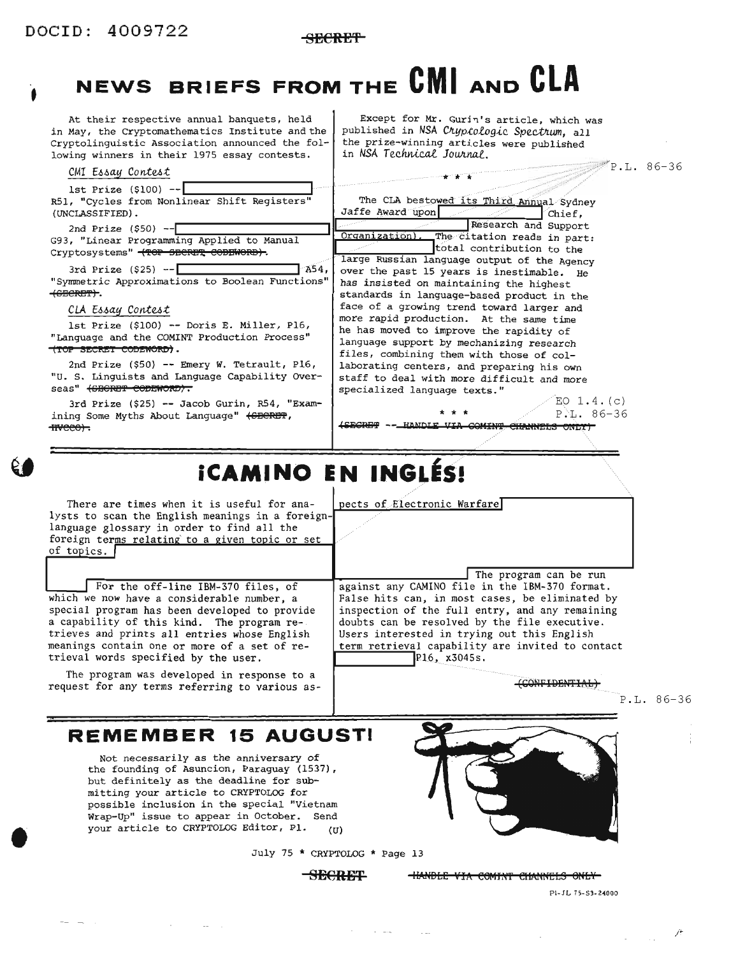•

t

SECREt)'

# **NEWS BRIEFS FROM THE eMI AND eLA**

At their respective annual banquets, held in May, the Cryptomathematics Institute and the Cryptolinguistic Association announced the following winners in their 1975 essay contests.

CMI Essay Contest

1st Prize (\$100) --<br>R51, "Cycles from Nonlinear Shift Registers" (UNCLASSIFIED) .

2nd Prize  $(550)$  -- $\Box$ G93, "Linear Programming Applied to Manual Cryptosystems" <TOP SECRET CODEWORD>.

3rd Prize (\$25) --I **<sup>1</sup>** A54, "Symmetric Approximations to Boolean Functions" (GECRET).

#### CLA Essay Contest

1st Prize (\$100) -- Doris E. Miller, P16, "Language and the COMINT Production Process" (TOP SECRET CODEWORD).

2nd Prize (\$50) -- Emery W. Tetrault, P16, "u. S. Linguists and Language Capability Overseas" <del>(SBCRET CODEWORD).</del>

3rd Prize (\$25) -- Jacob Gurin, R54, "Examining Some Myths About Language" (SECRET, fiveco).

 $\mathbb{P}^{\mathbb{H}'} P \cdot L \cdot 86 - 36$ Except for Mr. Gurin's article, which was published in NSA Cryptologic Spectrum, all the prize-winning articles were published in *NSA Teehnicai* ]o~nal.

EO  $1.4. (c)$ The CLA bestowed its Third Annual Sydney<br>Jaffe Award upon **1/ I** Research and Support<br> **Organization** . The citation reads in part: total contribution to the large Russian language output of the Agency over the past <sup>15</sup> years is inestimable. He has insisted on maintaining the highest standards in language-based product in the face of a growing trend toward larger and more rapid production. At the same time he has moved to improve the rapidity of language support by mechanizing research files, combining them with those of collaborating centers, and preparing his own staff to deal with more difficult and more specialized language texts."

\* \* \* P.L.86-36<br>\*\*\* P.L.86-36

# **iCAMINO EN INGLES!**

There are times when it is useful for analysts to scan the English meanings in a foreign-<br>language glossary in order to find all the foreign terms relating to a given topic or set of topics.

For the off-line IBM-370 files, of which we now have a considerable number, a special program has been developed to provide a capability of this kind. The program retrieves and prints all entries whose English meanings contain one or more of a set of retrieval words specified by the user.

The program was developed in response to a request for any terms referring to various aspects of Electronic Warfare

The program can be run against any CAMINO file in the IBM-370 format. False hits can, in most cases, be eliminated by inspection of the full entry, and any remaining doubts can be resolved by the file executive. Users interested in trying out this English term retrieval capability are invited to contact  $P16, x3045s.$ 

 $(COMFIDENTIAL)$ 

P.L. 86-36

 $\tilde{E}$ 

### **REMEMBER 15 AUGUSTI**

Not necessarily as the anniversary of the founding of Asuncion, Paraguay (1537), but definitely as the deadline for submitting your article to CRYPTOLOG for possible inclusion in the special "Vietnam Wrap-Up" issue to appear in October. Send your article to CRYPTOLOG Editor, Pl. (U)

July 75 \* CRYPTOLOG \* Page 13

SECRET HANDLE VIA COMINT CHANNELS ONLY



PI-JL 75-53-24000